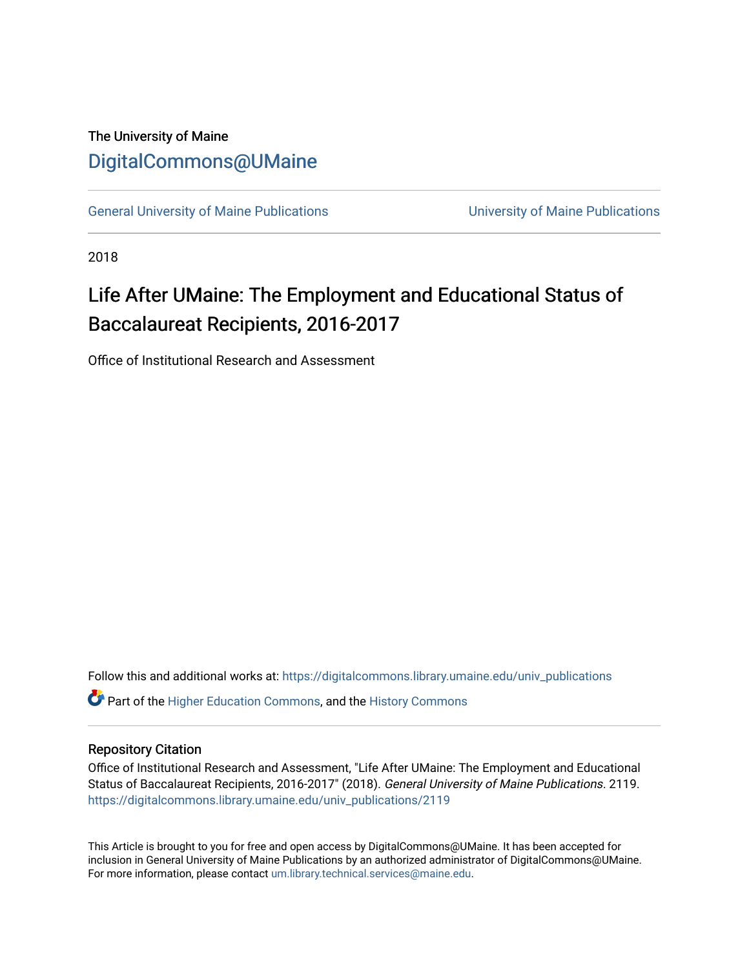# The University of Maine [DigitalCommons@UMaine](https://digitalcommons.library.umaine.edu/)

[General University of Maine Publications](https://digitalcommons.library.umaine.edu/univ_publications) [University of Maine Publications](https://digitalcommons.library.umaine.edu/umaine_publications) 

2018

# Life After UMaine: The Employment and Educational Status of Baccalaureat Recipients, 2016-2017

Office of Institutional Research and Assessment

Follow this and additional works at: [https://digitalcommons.library.umaine.edu/univ\\_publications](https://digitalcommons.library.umaine.edu/univ_publications?utm_source=digitalcommons.library.umaine.edu%2Funiv_publications%2F2119&utm_medium=PDF&utm_campaign=PDFCoverPages) 

**C** Part of the [Higher Education Commons,](http://network.bepress.com/hgg/discipline/1245?utm_source=digitalcommons.library.umaine.edu%2Funiv_publications%2F2119&utm_medium=PDF&utm_campaign=PDFCoverPages) and the [History Commons](http://network.bepress.com/hgg/discipline/489?utm_source=digitalcommons.library.umaine.edu%2Funiv_publications%2F2119&utm_medium=PDF&utm_campaign=PDFCoverPages)

#### Repository Citation

Office of Institutional Research and Assessment, "Life After UMaine: The Employment and Educational Status of Baccalaureat Recipients, 2016-2017" (2018). General University of Maine Publications. 2119. [https://digitalcommons.library.umaine.edu/univ\\_publications/2119](https://digitalcommons.library.umaine.edu/univ_publications/2119?utm_source=digitalcommons.library.umaine.edu%2Funiv_publications%2F2119&utm_medium=PDF&utm_campaign=PDFCoverPages)

This Article is brought to you for free and open access by DigitalCommons@UMaine. It has been accepted for inclusion in General University of Maine Publications by an authorized administrator of DigitalCommons@UMaine. For more information, please contact [um.library.technical.services@maine.edu](mailto:um.library.technical.services@maine.edu).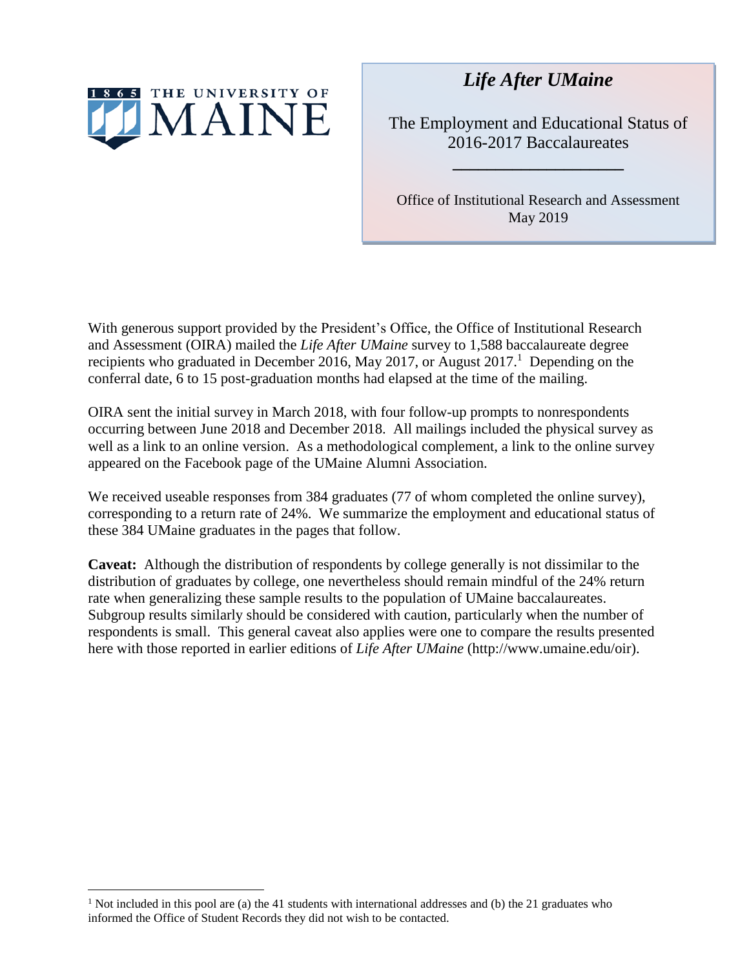

*Life After UMaine*

The Employment and Educational Status of 2016-2017 Baccalaureates

**\_\_\_\_\_\_\_\_\_\_\_\_\_\_\_\_\_\_\_\_**

Office of Institutional Research and Assessment May 2019

With generous support provided by the President's Office, the Office of Institutional Research and Assessment (OIRA) mailed the *Life After UMaine* survey to 1,588 baccalaureate degree recipients who graduated in December 2016, May 2017, or August 2017.<sup>1</sup> Depending on the conferral date, 6 to 15 post-graduation months had elapsed at the time of the mailing.

OIRA sent the initial survey in March 2018, with four follow-up prompts to nonrespondents occurring between June 2018 and December 2018. All mailings included the physical survey as well as a link to an online version. As a methodological complement, a link to the online survey appeared on the Facebook page of the UMaine Alumni Association.

We received useable responses from 384 graduates (77 of whom completed the online survey), corresponding to a return rate of 24%. We summarize the employment and educational status of these 384 UMaine graduates in the pages that follow.

**Caveat:** Although the distribution of respondents by college generally is not dissimilar to the distribution of graduates by college, one nevertheless should remain mindful of the 24% return rate when generalizing these sample results to the population of UMaine baccalaureates. Subgroup results similarly should be considered with caution, particularly when the number of respondents is small. This general caveat also applies were one to compare the results presented here with those reported in earlier editions of *Life After UMaine* (http://www.umaine.edu/oir).

 $\overline{a}$ 

<sup>&</sup>lt;sup>1</sup> Not included in this pool are (a) the 41 students with international addresses and (b) the 21 graduates who informed the Office of Student Records they did not wish to be contacted.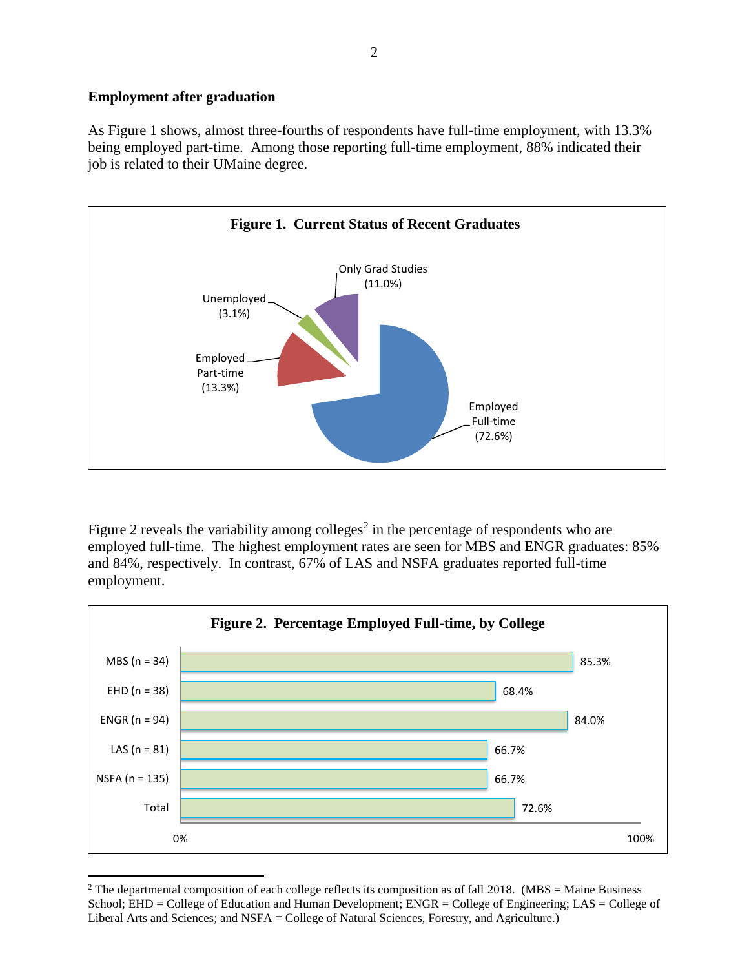# **Employment after graduation**

As Figure 1 shows, almost three-fourths of respondents have full-time employment, with 13.3% being employed part-time. Among those reporting full-time employment, 88% indicated their job is related to their UMaine degree.



Figure 2 reveals the variability among colleges<sup>2</sup> in the percentage of respondents who are employed full-time. The highest employment rates are seen for MBS and ENGR graduates: 85% and 84%, respectively. In contrast, 67% of LAS and NSFA graduates reported full-time employment.



 $\overline{a}$ <sup>2</sup> The departmental composition of each college reflects its composition as of fall 2018. (MBS = Maine Business School; EHD = College of Education and Human Development; ENGR = College of Engineering; LAS = College of Liberal Arts and Sciences; and NSFA = College of Natural Sciences, Forestry, and Agriculture.)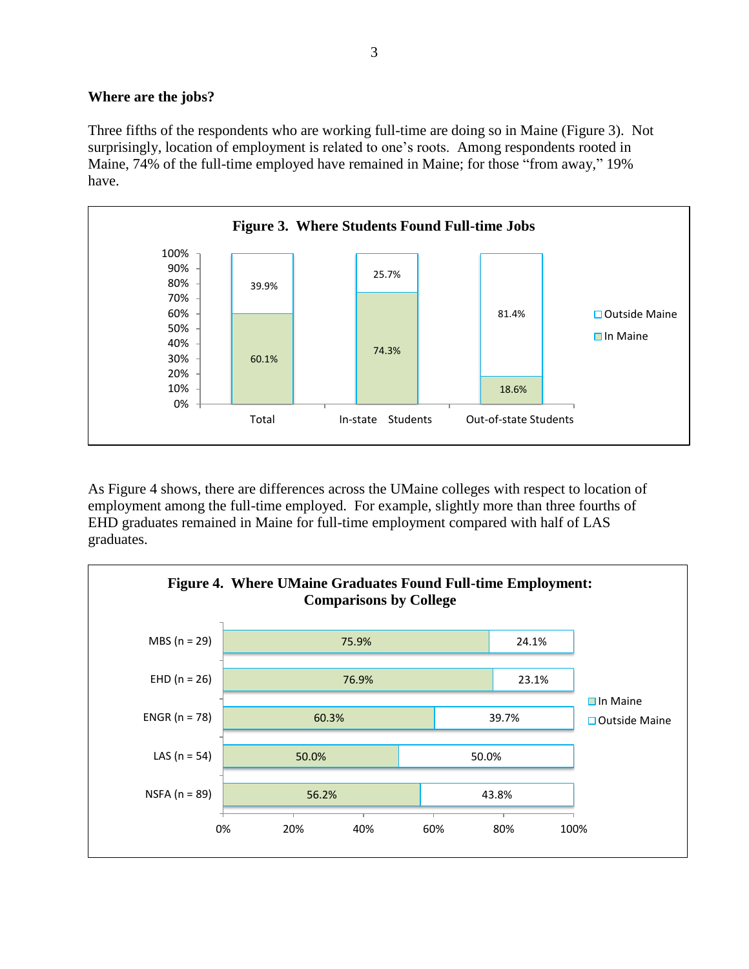# **Where are the jobs?**

Three fifths of the respondents who are working full-time are doing so in Maine (Figure 3). Not surprisingly, location of employment is related to one's roots. Among respondents rooted in Maine, 74% of the full-time employed have remained in Maine; for those "from away," 19% have.



As Figure 4 shows, there are differences across the UMaine colleges with respect to location of employment among the full-time employed. For example, slightly more than three fourths of EHD graduates remained in Maine for full-time employment compared with half of LAS graduates.

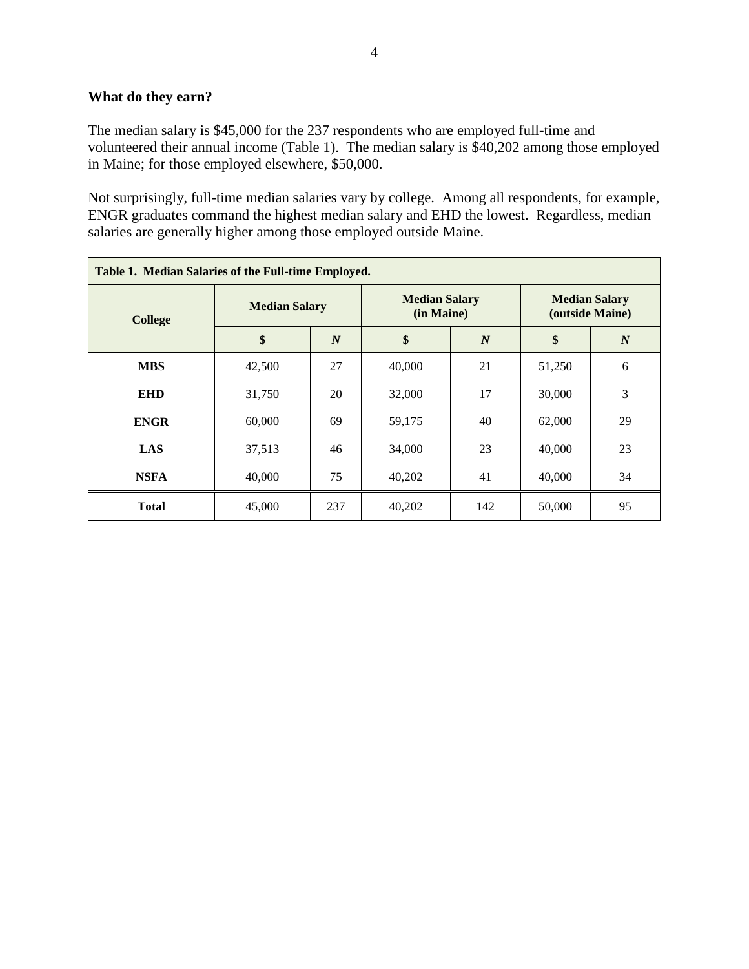# **What do they earn?**

The median salary is \$45,000 for the 237 respondents who are employed full-time and volunteered their annual income (Table 1). The median salary is \$40,202 among those employed in Maine; for those employed elsewhere, \$50,000.

Not surprisingly, full-time median salaries vary by college. Among all respondents, for example, ENGR graduates command the highest median salary and EHD the lowest. Regardless, median salaries are generally higher among those employed outside Maine.

| Table 1. Median Salaries of the Full-time Employed. |                      |                  |                                    |                  |                                         |                  |  |  |
|-----------------------------------------------------|----------------------|------------------|------------------------------------|------------------|-----------------------------------------|------------------|--|--|
| <b>College</b>                                      | <b>Median Salary</b> |                  | <b>Median Salary</b><br>(in Maine) |                  | <b>Median Salary</b><br>(outside Maine) |                  |  |  |
|                                                     | \$                   | $\boldsymbol{N}$ | \$                                 | $\boldsymbol{N}$ | \$                                      | $\boldsymbol{N}$ |  |  |
| <b>MBS</b>                                          | 42,500               | 27               | 40,000                             | 21               | 51,250                                  | 6                |  |  |
| <b>EHD</b>                                          | 31,750               | 20               | 32,000                             | 17               | 30,000                                  | 3                |  |  |
| <b>ENGR</b>                                         | 60,000               | 69               | 59,175                             | 40               | 62,000                                  | 29               |  |  |
| LAS                                                 | 37,513               | 46               | 34,000                             | 23               | 40,000                                  | 23               |  |  |
| <b>NSFA</b>                                         | 40,000               | 75               | 40,202                             | 41               | 40,000                                  | 34               |  |  |
| <b>Total</b>                                        | 45,000               | 237              | 40,202                             | 142              | 50,000                                  | 95               |  |  |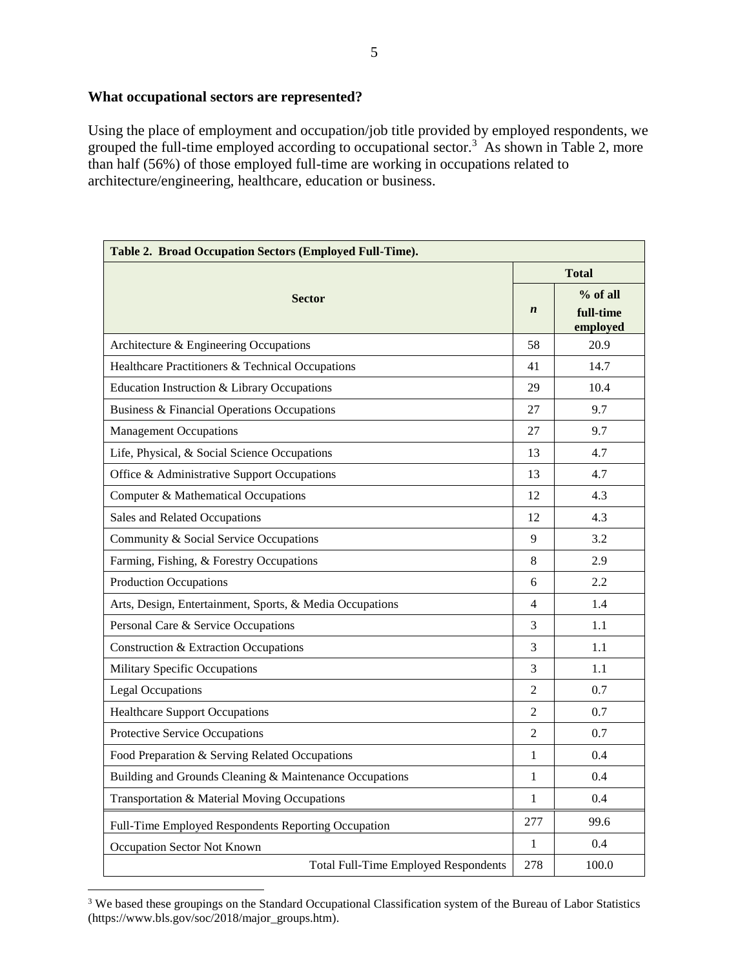### **What occupational sectors are represented?**

Using the place of employment and occupation/job title provided by employed respondents, we grouped the full-time employed according to occupational sector.<sup>3</sup> As shown in Table 2, more than half (56%) of those employed full-time are working in occupations related to architecture/engineering, healthcare, education or business.

| Table 2. Broad Occupation Sectors (Employed Full-Time).  |                |                       |  |  |  |  |
|----------------------------------------------------------|----------------|-----------------------|--|--|--|--|
| <b>Sector</b>                                            |                | <b>Total</b>          |  |  |  |  |
|                                                          |                | $%$ of all            |  |  |  |  |
|                                                          |                | full-time<br>employed |  |  |  |  |
| Architecture & Engineering Occupations                   | 58             | 20.9                  |  |  |  |  |
| Healthcare Practitioners & Technical Occupations         | 41             | 14.7                  |  |  |  |  |
| Education Instruction & Library Occupations              | 29             | 10.4                  |  |  |  |  |
| Business & Financial Operations Occupations              | 27             | 9.7                   |  |  |  |  |
| <b>Management Occupations</b>                            | 27             | 9.7                   |  |  |  |  |
| Life, Physical, & Social Science Occupations             | 13             | 4.7                   |  |  |  |  |
| Office & Administrative Support Occupations              | 13             | 4.7                   |  |  |  |  |
| Computer & Mathematical Occupations                      | 12             | 4.3                   |  |  |  |  |
| Sales and Related Occupations                            | 12             | 4.3                   |  |  |  |  |
| Community & Social Service Occupations                   | 9              | 3.2                   |  |  |  |  |
| Farming, Fishing, & Forestry Occupations                 | 8              | 2.9                   |  |  |  |  |
| <b>Production Occupations</b>                            | 6              | 2.2                   |  |  |  |  |
| Arts, Design, Entertainment, Sports, & Media Occupations | $\overline{4}$ | 1.4                   |  |  |  |  |
| Personal Care & Service Occupations                      | 3              | 1.1                   |  |  |  |  |
| Construction & Extraction Occupations                    | 3              | 1.1                   |  |  |  |  |
| Military Specific Occupations                            | 3              | 1.1                   |  |  |  |  |
| <b>Legal Occupations</b>                                 | $\overline{2}$ | 0.7                   |  |  |  |  |
| <b>Healthcare Support Occupations</b>                    | $\overline{2}$ | 0.7                   |  |  |  |  |
| Protective Service Occupations                           | $\overline{c}$ | 0.7                   |  |  |  |  |
| Food Preparation & Serving Related Occupations           | 1              | 0.4                   |  |  |  |  |
| Building and Grounds Cleaning & Maintenance Occupations  |                | 0.4                   |  |  |  |  |
| Transportation & Material Moving Occupations             |                | 0.4                   |  |  |  |  |
| Full-Time Employed Respondents Reporting Occupation      |                | 99.6                  |  |  |  |  |
| Occupation Sector Not Known                              |                | 0.4                   |  |  |  |  |
| <b>Total Full-Time Employed Respondents</b>              | 278            | 100.0                 |  |  |  |  |

<sup>&</sup>lt;sup>3</sup> We based these groupings on the Standard Occupational Classification system of the Bureau of Labor Statistics (https://www.bls.gov/soc/2018/major\_groups.htm).

 $\overline{a}$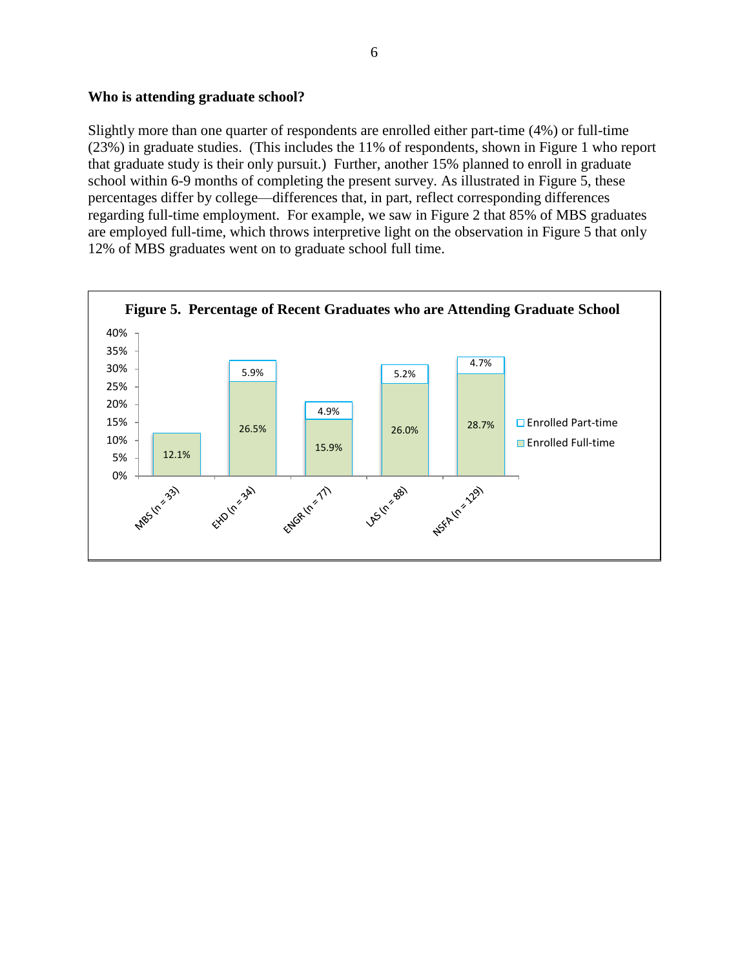#### **Who is attending graduate school?**

Slightly more than one quarter of respondents are enrolled either part-time (4%) or full-time (23%) in graduate studies. (This includes the 11% of respondents, shown in Figure 1 who report that graduate study is their only pursuit.) Further, another 15% planned to enroll in graduate school within 6-9 months of completing the present survey. As illustrated in Figure 5, these percentages differ by college—differences that, in part, reflect corresponding differences regarding full-time employment. For example, we saw in Figure 2 that 85% of MBS graduates are employed full-time, which throws interpretive light on the observation in Figure 5 that only 12% of MBS graduates went on to graduate school full time.